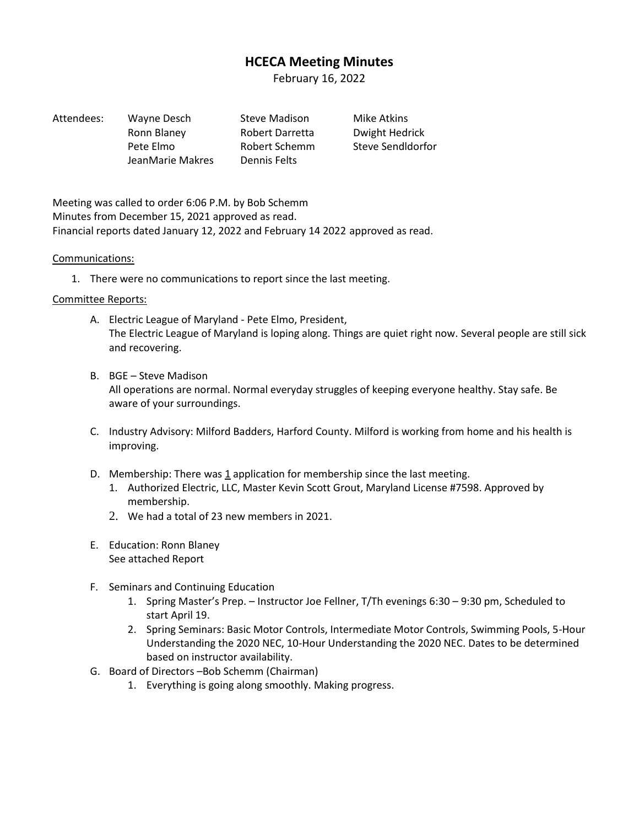# **HCECA Meeting Minutes**

February 16, 2022

| Attendees: | Wayne Desch      | <b>Steve Madiso</b> |
|------------|------------------|---------------------|
|            | Ronn Blaney      | <b>Robert Darre</b> |
|            | Pete Elmo        | <b>Robert Scher</b> |
|            | JeanMarie Makres | Dennis Felts        |

Attendees: Wayne Desch Steve Madison Mike Atkins etta Dwight Hedrick nm Steve Sendldorfor

Meeting was called to order 6:06 P.M. by Bob Schemm Minutes from December 15, 2021 approved as read. Financial reports dated January 12, 2022 and February 14 2022 approved as read.

# Communications:

1. There were no communications to report since the last meeting.

# Committee Reports:

- A. Electric League of Maryland Pete Elmo, President, The Electric League of Maryland is loping along. Things are quiet right now. Several people are still sick and recovering.
- B. BGE Steve Madison All operations are normal. Normal everyday struggles of keeping everyone healthy. Stay safe. Be aware of your surroundings.
- C. Industry Advisory: Milford Badders, Harford County. Milford is working from home and his health is improving.
- D. Membership: There was 1 application for membership since the last meeting.
	- 1. Authorized Electric, LLC, Master Kevin Scott Grout, Maryland License #7598. Approved by membership.
	- 2. We had a total of 23 new members in 2021.
- E. Education: Ronn Blaney See attached Report
- F. Seminars and Continuing Education
	- 1. Spring Master's Prep. Instructor Joe Fellner, T/Th evenings 6:30 9:30 pm, Scheduled to start April 19.
	- 2. Spring Seminars: Basic Motor Controls, Intermediate Motor Controls, Swimming Pools, 5-Hour Understanding the 2020 NEC, 10-Hour Understanding the 2020 NEC. Dates to be determined based on instructor availability.
- G. Board of Directors –Bob Schemm (Chairman)
	- 1. Everything is going along smoothly. Making progress.